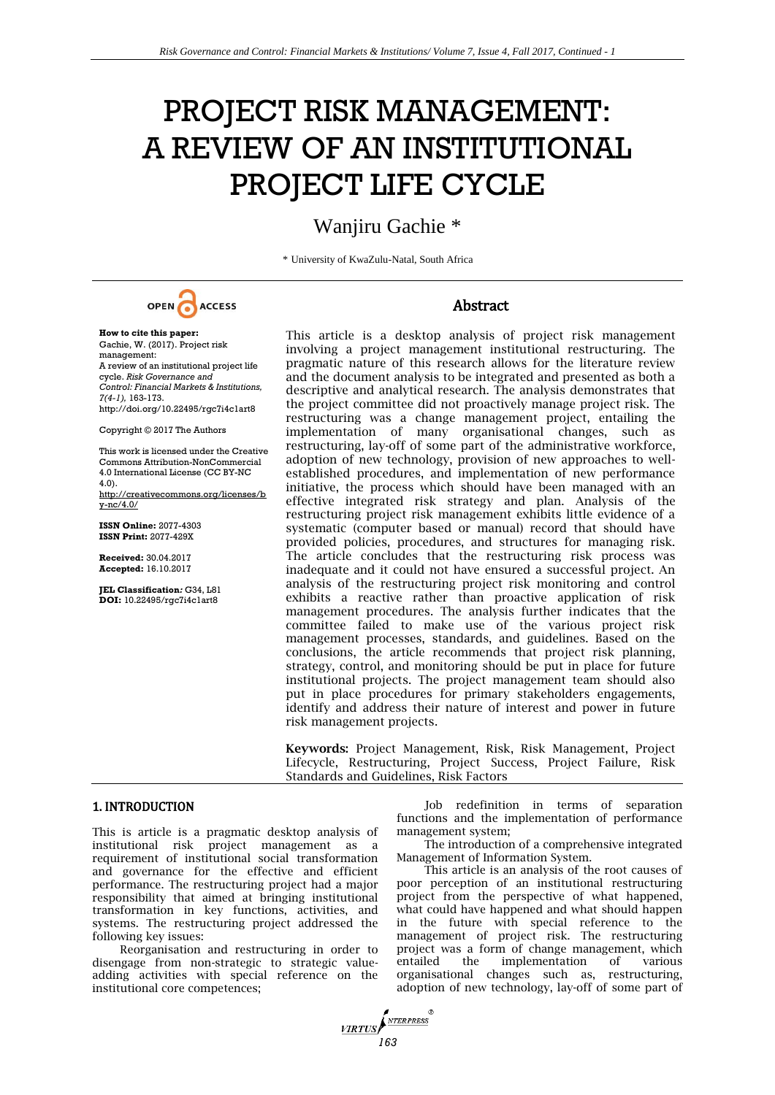# PROJECT RISK MANAGEMENT: A REVIEW OF AN INSTITUTIONAL PROJECT LIFE CYCLE

# Wanjiru Gachie \*

\* University of KwaZulu-Natal, South Africa



### Abstract

Gachie, W. (2017). Project risk management: A review of an institutional project life cycle. *Risk Governance and Control: Financial Markets & Institutions, 7(4-1),* 163-173. http://doi.org/10.22495/rgc7i4c1art8 Copyright © 2017 The Authors This work is licensed under the Creative Commons Attribution-NonCommercial 4.0 International License (CC BY-NC 4.0). http://creativecommons.org/licenses/b y-nc/4.0/

**ISSN Online:** 2077-4303 **ISSN Print:** 2077-429X

**How to cite this paper:** 

**Received:** 30.04.2017 **Accepted:** 16.10.2017

**JEL Classification***:* G34, L81 **DOI:** 10.22495/rgc7i4c1art8

This article is a desktop analysis of project risk management involving a project management institutional restructuring. The pragmatic nature of this research allows for the literature review and the document analysis to be integrated and presented as both a descriptive and analytical research. The analysis demonstrates that the project committee did not proactively manage project risk. The restructuring was a change management project, entailing the implementation of many organisational changes, such as restructuring, lay-off of some part of the administrative workforce, adoption of new technology, provision of new approaches to wellestablished procedures, and implementation of new performance initiative, the process which should have been managed with an effective integrated risk strategy and plan. Analysis of the restructuring project risk management exhibits little evidence of a systematic (computer based or manual) record that should have provided policies, procedures, and structures for managing risk. The article concludes that the restructuring risk process was inadequate and it could not have ensured a successful project. An analysis of the restructuring project risk monitoring and control exhibits a reactive rather than proactive application of risk management procedures. The analysis further indicates that the committee failed to make use of the various project risk management processes, standards, and guidelines. Based on the conclusions, the article recommends that project risk planning, strategy, control, and monitoring should be put in place for future institutional projects. The project management team should also put in place procedures for primary stakeholders engagements, identify and address their nature of interest and power in future risk management projects.

**Keywords:** Project Management, Risk, Risk Management, Project Lifecycle, Restructuring, Project Success, Project Failure, Risk Standards and Guidelines, Risk Factors

*MRTUS* 

#### 1. INTRODUCTION

This is article is a pragmatic desktop analysis of institutional risk project management as a requirement of institutional social transformation and governance for the effective and efficient performance. The restructuring project had a major responsibility that aimed at bringing institutional transformation in key functions, activities, and systems. The restructuring project addressed the following key issues:

Reorganisation and restructuring in order to disengage from non-strategic to strategic valueadding activities with special reference on the institutional core competences;

Job redefinition in terms of separation functions and the implementation of performance management system;

The introduction of a comprehensive integrated Management of Information System.

This article is an analysis of the root causes of poor perception of an institutional restructuring project from the perspective of what happened, what could have happened and what should happen in the future with special reference to the management of project risk. The restructuring project was a form of change management, which entailed the implementation of various organisational changes such as, restructuring, adoption of new technology, lay-off of some part of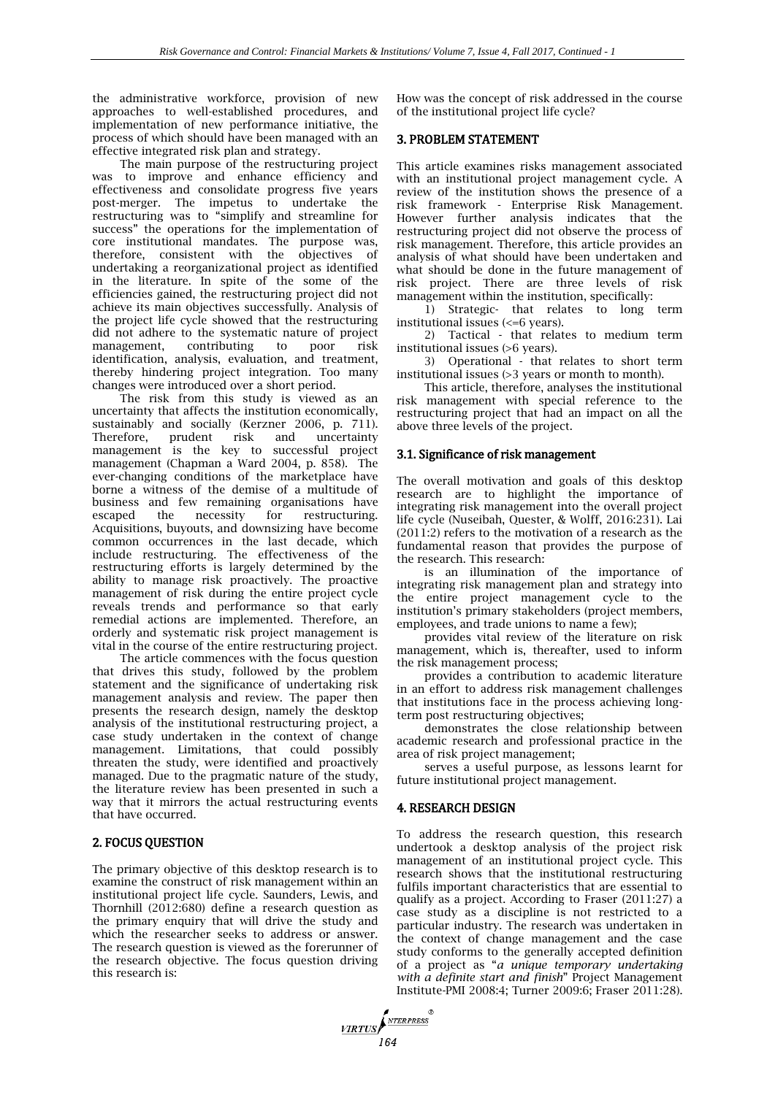the administrative workforce, provision of new approaches to well-established procedures, and implementation of new performance initiative, the process of which should have been managed with an effective integrated risk plan and strategy.

The main purpose of the restructuring project was to improve and enhance efficiency and effectiveness and consolidate progress five years post-merger. The impetus to undertake the restructuring was to "simplify and streamline for success" the operations for the implementation of core institutional mandates. The purpose was, therefore, consistent with the objectives of undertaking a reorganizational project as identified in the literature. In spite of the some of the efficiencies gained, the restructuring project did not achieve its main objectives successfully. Analysis of the project life cycle showed that the restructuring did not adhere to the systematic nature of project management, contributing to poor risk identification, analysis, evaluation, and treatment, thereby hindering project integration. Too many changes were introduced over a short period.

The risk from this study is viewed as an uncertainty that affects the institution economically, sustainably and socially (Kerzner 2006, p. 711). Therefore, prudent risk and uncertainty management is the key to successful project management (Chapman a Ward 2004, p. 858). The ever-changing conditions of the marketplace have borne a witness of the demise of a multitude of business and few remaining organisations have escaped the necessity for restructuring. Acquisitions, buyouts, and downsizing have become common occurrences in the last decade, which include restructuring. The effectiveness of the restructuring efforts is largely determined by the ability to manage risk proactively. The proactive management of risk during the entire project cycle reveals trends and performance so that early remedial actions are implemented. Therefore, an orderly and systematic risk project management is vital in the course of the entire restructuring project.

The article commences with the focus question that drives this study, followed by the problem statement and the significance of undertaking risk management analysis and review. The paper then presents the research design, namely the desktop analysis of the institutional restructuring project, a case study undertaken in the context of change management. Limitations, that could possibly threaten the study, were identified and proactively managed. Due to the pragmatic nature of the study, the literature review has been presented in such a way that it mirrors the actual restructuring events that have occurred.

## 2. FOCUS QUESTION

The primary objective of this desktop research is to examine the construct of risk management within an institutional project life cycle. Saunders, Lewis, and Thornhill (2012:680) define a research question as the primary enquiry that will drive the study and which the researcher seeks to address or answer. The research question is viewed as the forerunner of the research objective. The focus question driving this research is:

How was the concept of risk addressed in the course of the institutional project life cycle?

#### 3. PROBLEM STATEMENT

This article examines risks management associated with an institutional project management cycle. A review of the institution shows the presence of a risk framework - Enterprise Risk Management. However further analysis indicates that the restructuring project did not observe the process of risk management. Therefore, this article provides an analysis of what should have been undertaken and what should be done in the future management of risk project. There are three levels of risk management within the institution, specifically:

1) Strategic- that relates to long term institutional issues (<=6 years).

2) Tactical - that relates to medium term institutional issues (>6 years).

3) Operational - that relates to short term institutional issues (>3 years or month to month).

This article, therefore, analyses the institutional risk management with special reference to the restructuring project that had an impact on all the above three levels of the project.

#### 3.1. Significance of risk management

The overall motivation and goals of this desktop research are to highlight the importance of integrating risk management into the overall project life cycle (Nuseibah, Quester, & Wolff, 2016:231). Lai (2011:2) refers to the motivation of a research as the fundamental reason that provides the purpose of the research. This research:

is an illumination of the importance of integrating risk management plan and strategy into the entire project management cycle to the institution's primary stakeholders (project members, employees, and trade unions to name a few);

provides vital review of the literature on risk management, which is, thereafter, used to inform the risk management process;

provides a contribution to academic literature in an effort to address risk management challenges that institutions face in the process achieving longterm post restructuring objectives;

demonstrates the close relationship between academic research and professional practice in the area of risk project management;

serves a useful purpose, as lessons learnt for future institutional project management.

#### 4. RESEARCH DESIGN

To address the research question, this research undertook a desktop analysis of the project risk management of an institutional project cycle. This research shows that the institutional restructuring fulfils important characteristics that are essential to qualify as a project. According to Fraser (2011:27) a case study as a discipline is not restricted to a particular industry. The research was undertaken in the context of change management and the case study conforms to the generally accepted definition of a project as "*a unique temporary undertaking with a definite start and finish*" Project Management Institute-PMI 2008:4; Turner 2009:6; Fraser 2011:28).

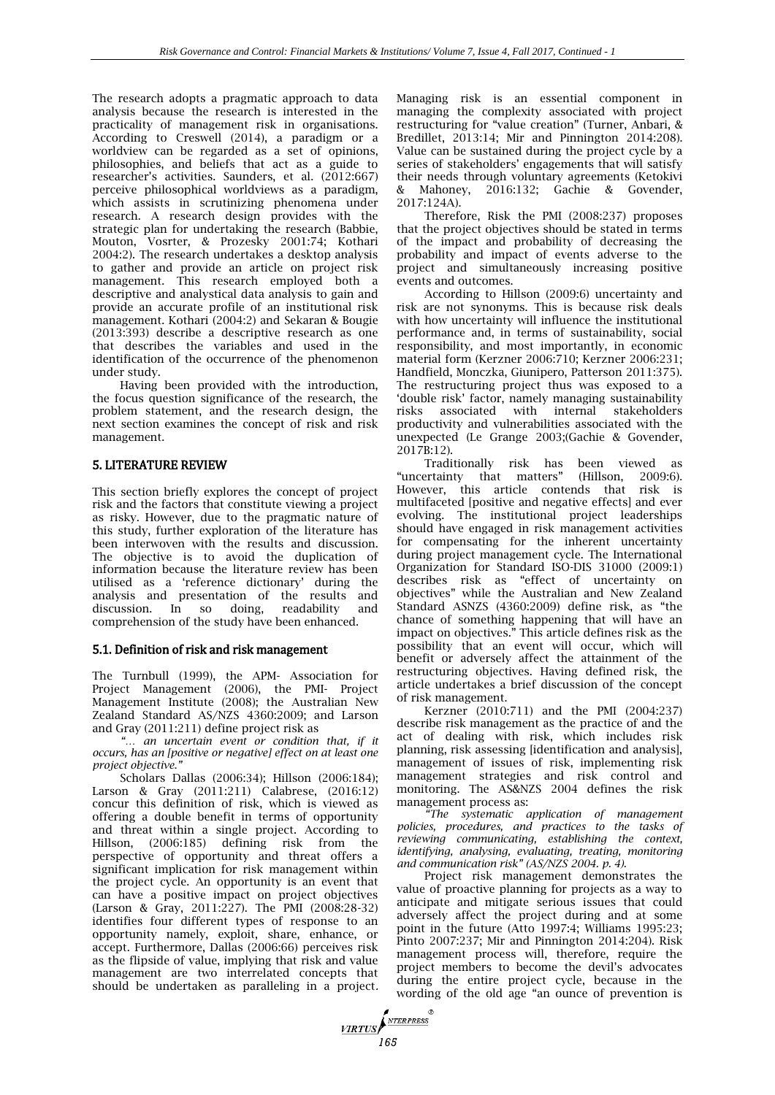The research adopts a pragmatic approach to data analysis because the research is interested in the practicality of management risk in organisations. According to Creswell (2014), a paradigm or a worldview can be regarded as a set of opinions, philosophies, and beliefs that act as a guide to researcher's activities. Saunders, et al. (2012:667) perceive philosophical worldviews as a paradigm, which assists in scrutinizing phenomena under research. A research design provides with the strategic plan for undertaking the research (Babbie, Mouton, Vosrter, & Prozesky 2001:74; Kothari 2004:2). The research undertakes a desktop analysis to gather and provide an article on project risk management. This research employed both a descriptive and analystical data analysis to gain and provide an accurate profile of an institutional risk management. Kothari (2004:2) and Sekaran & Bougie (2013:393) describe a descriptive research as one that describes the variables and used in the identification of the occurrence of the phenomenon under study.

Having been provided with the introduction, the focus question significance of the research, the problem statement, and the research design, the next section examines the concept of risk and risk management.

## 5. LITERATURE REVIEW

This section briefly explores the concept of project risk and the factors that constitute viewing a project as risky. However, due to the pragmatic nature of this study, further exploration of the literature has been interwoven with the results and discussion. The objective is to avoid the duplication of information because the literature review has been utilised as a 'reference dictionary' during the analysis and presentation of the results and<br>discussion. In so doing, readability and discussion. In so doing, readability and comprehension of the study have been enhanced.

## 5.1. Definition of risk and risk management

The Turnbull (1999), the APM- Association for Project Management (2006), the PMI- Project Management Institute (2008); the Australian New Zealand Standard AS/NZS 4360:2009; and Larson and Gray (2011:211) define project risk as

*"… an uncertain event or condition that, if it occurs, has an [positive or negative] effect on at least one project objective."* 

Scholars Dallas (2006:34); Hillson (2006:184); Larson & Gray (2011:211) Calabrese, (2016:12) concur this definition of risk, which is viewed as offering a double benefit in terms of opportunity and threat within a single project. According to Hillson, (2006:185) defining risk from the perspective of opportunity and threat offers a significant implication for risk management within the project cycle. An opportunity is an event that can have a positive impact on project objectives (Larson & Gray, 2011:227). The PMI (2008:28-32) identifies four different types of response to an opportunity namely, exploit, share, enhance, or accept. Furthermore, Dallas (2006:66) perceives risk as the flipside of value, implying that risk and value management are two interrelated concepts that should be undertaken as paralleling in a project*.*

**VIRTUS**<br>165

Managing risk is an essential component in managing the complexity associated with project restructuring for "value creation" (Turner, Anbari, & Bredillet, 2013:14; Mir and Pinnington 2014:208). Value can be sustained during the project cycle by a series of stakeholders' engagements that will satisfy their needs through voluntary agreements (Ketokivi & Mahoney, 2016:132; Gachie & Govender, 2017:124A).

Therefore, Risk the PMI (2008:237) proposes that the project objectives should be stated in terms of the impact and probability of decreasing the probability and impact of events adverse to the project and simultaneously increasing positive events and outcomes.

According to Hillson (2009:6) uncertainty and risk are not synonyms. This is because risk deals with how uncertainty will influence the institutional performance and, in terms of sustainability, social responsibility, and most importantly, in economic material form (Kerzner 2006:710; Kerzner 2006:231; Handfield, Monczka, Giunipero, Patterson 2011:375). The restructuring project thus was exposed to a 'double risk' factor, namely managing sustainability risks associated with internal stakeholders productivity and vulnerabilities associated with the unexpected (Le Grange 2003;(Gachie & Govender, 2017B:12).

Traditionally risk has been viewed as<br>ertainty that matters" (Hillson, 2009:6). "uncertainty that matters" (Hillson, 2009:6). However, this article contends that risk is multifaceted [positive and negative effects] and ever evolving. The institutional project leaderships should have engaged in risk management activities for compensating for the inherent uncertainty during project management cycle. The International Organization for Standard ISO-DIS 31000 (2009:1) describes risk as "effect of uncertainty on objectives" while the Australian and New Zealand Standard ASNZS (4360:2009) define risk, as "the chance of something happening that will have an impact on objectives." This article defines risk as the possibility that an event will occur, which will benefit or adversely affect the attainment of the restructuring objectives. Having defined risk, the article undertakes a brief discussion of the concept of risk management.

Kerzner (2010:711) and the PMI (2004:237) describe risk management as the practice of and the act of dealing with risk, which includes risk planning, risk assessing [identification and analysis], management of issues of risk, implementing risk management strategies and risk control and monitoring. The AS&NZS 2004 defines the risk management process as:

*"The systematic application of management policies, procedures, and practices to the tasks of reviewing communicating, establishing the context, identifying, analysing, evaluating, treating, monitoring and communication risk" (AS/NZS 2004. p. 4).*

Project risk management demonstrates the value of proactive planning for projects as a way to anticipate and mitigate serious issues that could adversely affect the project during and at some point in the future (Atto 1997:4; Williams 1995:23; Pinto 2007:237; Mir and Pinnington 2014:204). Risk management process will, therefore, require the project members to become the devil's advocates during the entire project cycle, because in the wording of the old age "an ounce of prevention is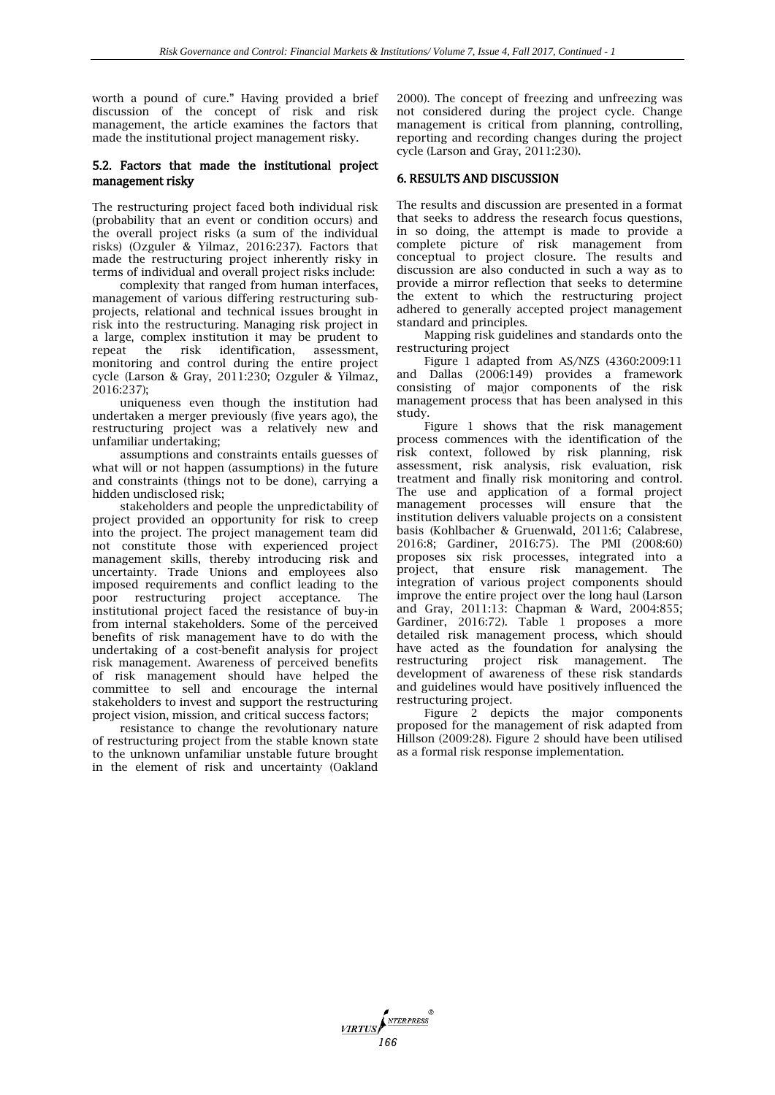worth a pound of cure." Having provided a brief discussion of the concept of risk and risk management, the article examines the factors that made the institutional project management risky.

#### 5.2. Factors that made the institutional project management risky

The restructuring project faced both individual risk (probability that an event or condition occurs) and the overall project risks (a sum of the individual risks) (Ozguler & Yilmaz, 2016:237). Factors that made the restructuring project inherently risky in terms of individual and overall project risks include:

complexity that ranged from human interfaces, management of various differing restructuring subprojects, relational and technical issues brought in risk into the restructuring. Managing risk project in a large, complex institution it may be prudent to repeat the risk identification, assessment, monitoring and control during the entire project cycle (Larson & Gray, 2011:230; Ozguler & Yilmaz, 2016:237);

uniqueness even though the institution had undertaken a merger previously (five years ago), the restructuring project was a relatively new and unfamiliar undertaking;

assumptions and constraints entails guesses of what will or not happen (assumptions) in the future and constraints (things not to be done), carrying a hidden undisclosed risk;

stakeholders and people the unpredictability of project provided an opportunity for risk to creep into the project. The project management team did not constitute those with experienced project management skills, thereby introducing risk and uncertainty. Trade Unions and employees also imposed requirements and conflict leading to the poor restructuring project acceptance. The institutional project faced the resistance of buy-in from internal stakeholders. Some of the perceived benefits of risk management have to do with the undertaking of a cost-benefit analysis for project risk management. Awareness of perceived benefits of risk management should have helped the committee to sell and encourage the internal stakeholders to invest and support the restructuring project vision, mission, and critical success factors;

resistance to change the revolutionary nature of restructuring project from the stable known state to the unknown unfamiliar unstable future brought in the element of risk and uncertainty (Oakland

2000). The concept of freezing and unfreezing was not considered during the project cycle. Change management is critical from planning, controlling, reporting and recording changes during the project cycle (Larson and Gray, 2011:230).

## 6. RESULTS AND DISCUSSION

The results and discussion are presented in a format that seeks to address the research focus questions, in so doing, the attempt is made to provide a complete picture of risk management from conceptual to project closure. The results and discussion are also conducted in such a way as to provide a mirror reflection that seeks to determine the extent to which the restructuring project adhered to generally accepted project management standard and principles.

Mapping risk guidelines and standards onto the restructuring project

Figure 1 adapted from AS/NZS (4360:2009:11 and Dallas (2006:149) provides a framework consisting of major components of the risk management process that has been analysed in this study.

Figure 1 shows that the risk management process commences with the identification of the risk context, followed by risk planning, risk assessment, risk analysis, risk evaluation, risk treatment and finally risk monitoring and control. The use and application of a formal project management processes will ensure that the institution delivers valuable projects on a consistent basis (Kohlbacher & Gruenwald, 2011:6; Calabrese, 2016:8; Gardiner, 2016:75). The PMI (2008:60) proposes six risk processes, integrated into a project, that ensure risk management. The integration of various project components should improve the entire project over the long haul (Larson and Gray, 2011:13: Chapman & Ward, 2004:855; Gardiner, 2016:72). Table 1 proposes a more detailed risk management process, which should have acted as the foundation for analysing the restructuring project risk management. The development of awareness of these risk standards and guidelines would have positively influenced the restructuring project.

Figure 2 depicts the major components proposed for the management of risk adapted from Hillson (2009:28). Figure 2 should have been utilised as a formal risk response implementation.

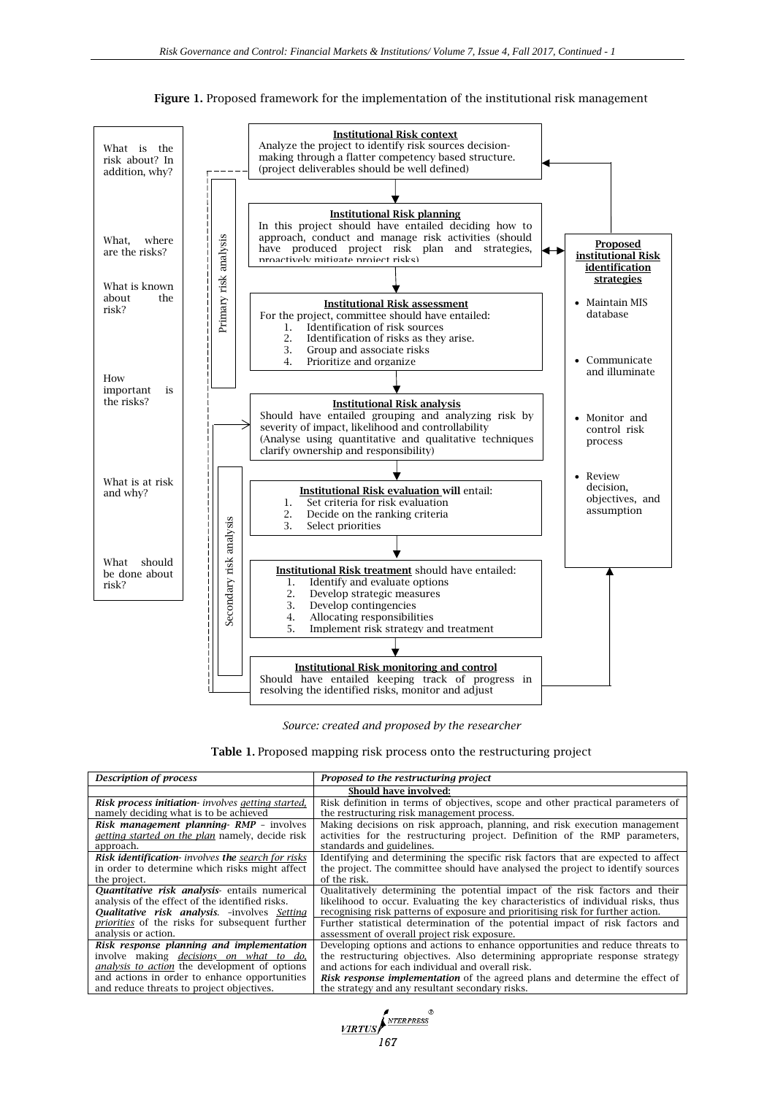

**Figure 1.** Proposed framework for the implementation of the institutional risk management

*Source: created and proposed by the researcher*

| <b>Table 1.</b> Proposed mapping risk process onto the restructuring project |  |  |  |  |  |
|------------------------------------------------------------------------------|--|--|--|--|--|
|------------------------------------------------------------------------------|--|--|--|--|--|

| <b>Description of process</b>                          | Proposed to the restructuring project                                               |  |  |  |
|--------------------------------------------------------|-------------------------------------------------------------------------------------|--|--|--|
| Should have involved:                                  |                                                                                     |  |  |  |
| Risk process initiation- involves getting started,     | Risk definition in terms of objectives, scope and other practical parameters of     |  |  |  |
| namely deciding what is to be achieved                 | the restructuring risk management process.                                          |  |  |  |
| <b>Risk management planning RMP - involves</b>         | Making decisions on risk approach, planning, and risk execution management          |  |  |  |
| <i>getting started on the plan namely, decide risk</i> | activities for the restructuring project. Definition of the RMP parameters,         |  |  |  |
| approach.                                              | standards and guidelines.                                                           |  |  |  |
| Risk identification- involves the search for risks     | Identifying and determining the specific risk factors that are expected to affect   |  |  |  |
| in order to determine which risks might affect         | the project. The committee should have analysed the project to identify sources     |  |  |  |
| the project.                                           | of the risk.                                                                        |  |  |  |
| Quantitative risk analysis- entails numerical          | Qualitatively determining the potential impact of the risk factors and their        |  |  |  |
| analysis of the effect of the identified risks.        | likelihood to occur. Evaluating the key characteristics of individual risks, thus   |  |  |  |
| <b>Qualitative risk analysis.</b> -involves Setting    | recognising risk patterns of exposure and prioritising risk for further action.     |  |  |  |
| <i>priorities</i> of the risks for subsequent further  | Further statistical determination of the potential impact of risk factors and       |  |  |  |
| analysis or action.                                    | assessment of overall project risk exposure.                                        |  |  |  |
| Risk response planning and implementation              | Developing options and actions to enhance opportunities and reduce threats to       |  |  |  |
| involve making <i>decisions</i> on what to do,         | the restructuring objectives. Also determining appropriate response strategy        |  |  |  |
| <i>analysis to action</i> the development of options   | and actions for each individual and overall risk.                                   |  |  |  |
| and actions in order to enhance opportunities          | <b>Risk response implementation</b> of the agreed plans and determine the effect of |  |  |  |
| and reduce threats to project objectives.              | the strategy and any resultant secondary risks.                                     |  |  |  |

**167**<br>167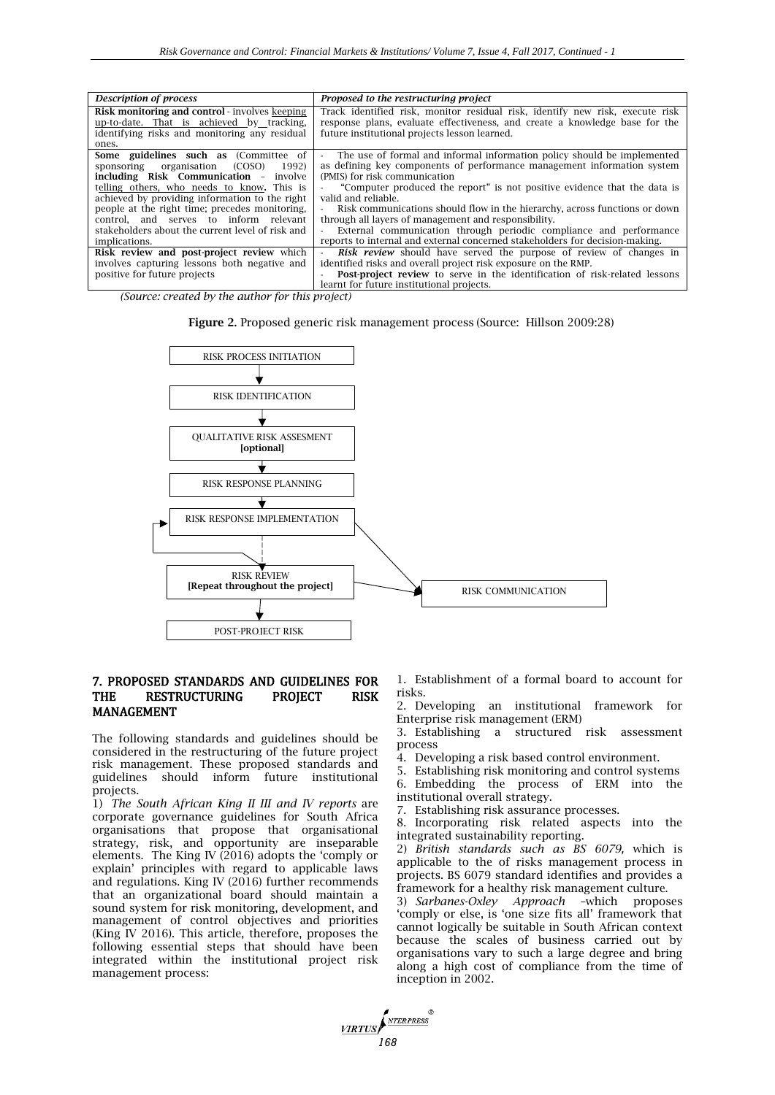| <b>Description of process</b>                         | Proposed to the restructuring project                                             |  |  |  |
|-------------------------------------------------------|-----------------------------------------------------------------------------------|--|--|--|
| <b>Risk monitoring and control</b> - involves keeping | Track identified risk, monitor residual risk, identify new risk, execute risk     |  |  |  |
| up-to-date. That is achieved by tracking,             | response plans, evaluate effectiveness, and create a knowledge base for the       |  |  |  |
| identifying risks and monitoring any residual         | future institutional projects lesson learned.                                     |  |  |  |
| ones.                                                 |                                                                                   |  |  |  |
|                                                       |                                                                                   |  |  |  |
| Some guidelines such as (Committee of                 | - The use of formal and informal information policy should be implemented         |  |  |  |
| sponsoring organisation (COSO)<br>1992)               | as defining key components of performance management information system           |  |  |  |
| including Risk Communication - involve                | (PMIS) for risk communication                                                     |  |  |  |
| telling others, who needs to know. This is            | "Computer produced the report" is not positive evidence that the data is          |  |  |  |
| achieved by providing information to the right        | valid and reliable.                                                               |  |  |  |
| people at the right time; precedes monitoring,        | Risk communications should flow in the hierarchy, across functions or down        |  |  |  |
| control, and serves to inform relevant                | through all layers of management and responsibility.                              |  |  |  |
| stakeholders about the current level of risk and      | External communication through periodic compliance and performance                |  |  |  |
| implications.                                         | reports to internal and external concerned stakeholders for decision-making.      |  |  |  |
| Risk review and post-project review which             | <b>Risk review</b> should have served the purpose of review of changes in         |  |  |  |
| involves capturing lessons both negative and          | identified risks and overall project risk exposure on the RMP.                    |  |  |  |
| positive for future projects                          | <b>Post-project review</b> to serve in the identification of risk-related lessons |  |  |  |
|                                                       | learnt for future institutional projects.                                         |  |  |  |

*(Source: created by the author for this project)*





**VIRTUS** 

#### 7. PROPOSED STANDARDS AND GUIDELINES FOR THE RESTRUCTURING PROJECT RISK MANAGEMENT

The following standards and guidelines should be considered in the restructuring of the future project risk management. These proposed standards and guidelines should inform future institutional projects.

1) *The South African King II III and IV reports* are corporate governance guidelines for South Africa organisations that propose that organisational strategy, risk, and opportunity are inseparable elements. The King IV (2016) adopts the 'comply or explain' principles with regard to applicable laws and regulations. King IV (2016) further recommends that an organizational board should maintain a sound system for risk monitoring, development, and management of control objectives and priorities (King IV 2016). This article, therefore, proposes the following essential steps that should have been integrated within the institutional project risk management process:

1. Establishment of a formal board to account for risks.

2. Developing an institutional framework for Enterprise risk management (ERM)

3. Establishing a structured risk assessment process

4. Developing a risk based control environment.

5. Establishing risk monitoring and control systems 6. Embedding the process of ERM into the institutional overall strategy.

7. Establishing risk assurance processes.

8. Incorporating risk related aspects into the integrated sustainability reporting.

2) *British standards such as BS 6079,* which is applicable to the of risks management process in projects. BS 6079 standard identifies and provides a framework for a healthy risk management culture.

3) *Sarbanes-Oxley Approach* –which proposes 'comply or else, is 'one size fits all' framework that cannot logically be suitable in South African context because the scales of business carried out by organisations vary to such a large degree and bring along a high cost of compliance from the time of inception in 2002.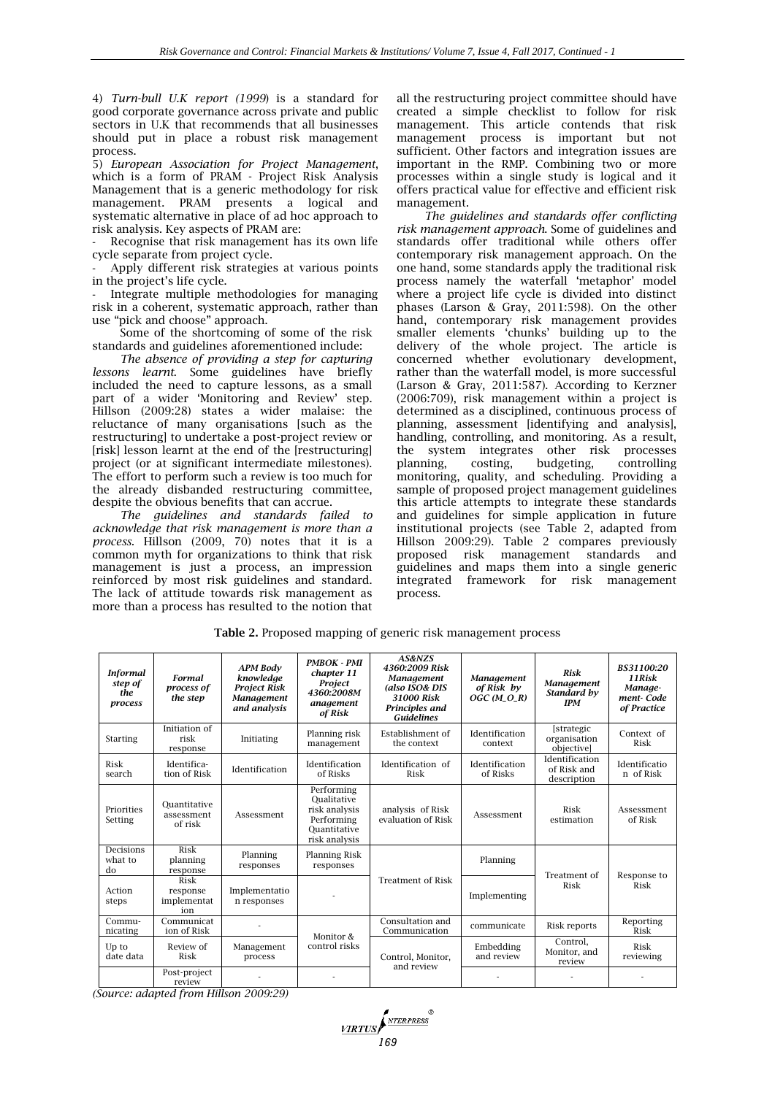4) *Turn-bull U.K report (1999*) is a standard for good corporate governance across private and public sectors in U.K that recommends that all businesses should put in place a robust risk management process.

5) *European Association for Project Management*, which is a form of PRAM - Project Risk Analysis Management that is a generic methodology for risk management. PRAM presents a logical and systematic alternative in place of ad hoc approach to risk analysis. Key aspects of PRAM are:

Recognise that risk management has its own life cycle separate from project cycle.

Apply different risk strategies at various points in the project's life cycle.

- Integrate multiple methodologies for managing risk in a coherent, systematic approach, rather than use "pick and choose" approach.

Some of the shortcoming of some of the risk standards and guidelines aforementioned include:

*The absence of providing a step for capturing lessons learnt*. Some guidelines have briefly included the need to capture lessons, as a small part of a wider 'Monitoring and Review' step. Hillson (2009:28) states a wider malaise: the reluctance of many organisations [such as the restructuring] to undertake a post-project review or [risk] lesson learnt at the end of the [restructuring] project (or at significant intermediate milestones). The effort to perform such a review is too much for the already disbanded restructuring committee, despite the obvious benefits that can accrue.

*The guidelines and standards failed to acknowledge that risk management is more than a process.* Hillson (2009, 70) notes that it is a common myth for organizations to think that risk management is just a process, an impression reinforced by most risk guidelines and standard. The lack of attitude towards risk management as more than a process has resulted to the notion that

all the restructuring project committee should have created a simple checklist to follow for risk management. This article contends that risk management process is important but not sufficient. Other factors and integration issues are important in the RMP. Combining two or more processes within a single study is logical and it offers practical value for effective and efficient risk management.

*The guidelines and standards offer conflicting risk management approach*. Some of guidelines and standards offer traditional while others offer contemporary risk management approach. On the one hand, some standards apply the traditional risk process namely the waterfall 'metaphor' model where a project life cycle is divided into distinct phases (Larson & Gray, 2011:598). On the other hand, contemporary risk management provides smaller elements 'chunks' building up to the delivery of the whole project. The article is concerned whether evolutionary development, rather than the waterfall model, is more successful (Larson & Gray, 2011:587). According to Kerzner (2006:709), risk management within a project is determined as a disciplined, continuous process of planning, assessment [identifying and analysis], handling, controlling, and monitoring. As a result, the system integrates other risk processes planning, costing, budgeting, controlling monitoring, quality, and scheduling. Providing a sample of proposed project management guidelines this article attempts to integrate these standards and guidelines for simple application in future institutional projects (see Table 2, adapted from Hillson 2009:29). Table 2 compares previously proposed risk management standards and guidelines and maps them into a single generic integrated framework for risk management process.

| <b>Informal</b><br>step of<br>the<br>process | <b>Formal</b><br>process of<br>the step | <b>APM Body</b><br>knowledge<br><b>Project Risk</b><br><b>Management</b><br>and analysis | <b>PMBOK - PMI</b><br>chapter 11<br>Project<br>4360:2008M<br>anagement<br>of Risk         | AS&NZS<br>4360:2009 Risk<br>Management<br>(also ISO& DIS<br>31000 Risk<br>Principles and<br><b>Guidelines</b> | <b>Management</b><br>of Risk by<br>$OGC (M_O_R)$ | Risk<br>Management<br>Standard by<br><b>IPM</b> | BS31100:20<br>11 Risk<br>Manaae-<br>ment-Code<br>of Practice |
|----------------------------------------------|-----------------------------------------|------------------------------------------------------------------------------------------|-------------------------------------------------------------------------------------------|---------------------------------------------------------------------------------------------------------------|--------------------------------------------------|-------------------------------------------------|--------------------------------------------------------------|
| Starting                                     | Initiation of<br>risk<br>response       | Initiating                                                                               | Planning risk<br>management                                                               | Establishment of<br>the context                                                                               | Identification<br>context                        | [strategic]<br>organisation<br>objectivel       | Context of<br>Risk                                           |
| Risk<br>search                               | Identifica-<br>tion of Risk             | Identification                                                                           | Identification<br>of Risks                                                                | Identification of<br>Risk                                                                                     | Identification<br>of Risks                       | Identification<br>of Risk and<br>description    | Identificatio<br>n of Risk                                   |
| Priorities<br>Setting                        | Ouantitative<br>assessment<br>of risk   | Assessment                                                                               | Performing<br>Oualitative<br>risk analysis<br>Performing<br>Ouantitative<br>risk analysis | analysis of Risk<br>evaluation of Risk                                                                        | Assessment                                       | Risk<br>estimation                              | Assessment<br>of Risk                                        |
| Decisions<br>what to<br>do                   | Risk<br>planning<br>response            | Planning<br>responses                                                                    | Planning Risk<br>responses                                                                |                                                                                                               | Planning                                         | Treatment of<br>Risk                            | Response to<br>Risk                                          |
| Action<br>steps                              | Risk<br>response<br>implementat<br>ion  | Implementatio<br>n responses                                                             |                                                                                           | <b>Treatment of Risk</b>                                                                                      | Implementing                                     |                                                 |                                                              |
| Commu-<br>nicating                           | Communicat<br>ion of Risk               |                                                                                          | Monitor &                                                                                 | Consultation and<br>Communication                                                                             | communicate                                      | Risk reports                                    | Reporting<br>Risk                                            |
| Up to<br>date data                           | Review of<br>Risk                       | Management<br>process                                                                    | control risks                                                                             | Control, Monitor,<br>and review                                                                               | Embedding<br>and review                          | Control.<br>Monitor, and<br>review              | Risk<br>reviewing                                            |
|                                              | Post-project<br>review                  |                                                                                          |                                                                                           |                                                                                                               |                                                  |                                                 |                                                              |

**Table 2.** Proposed mapping of generic risk management process

*(Source: adapted from Hillson 2009:29)*

**VIRTUS**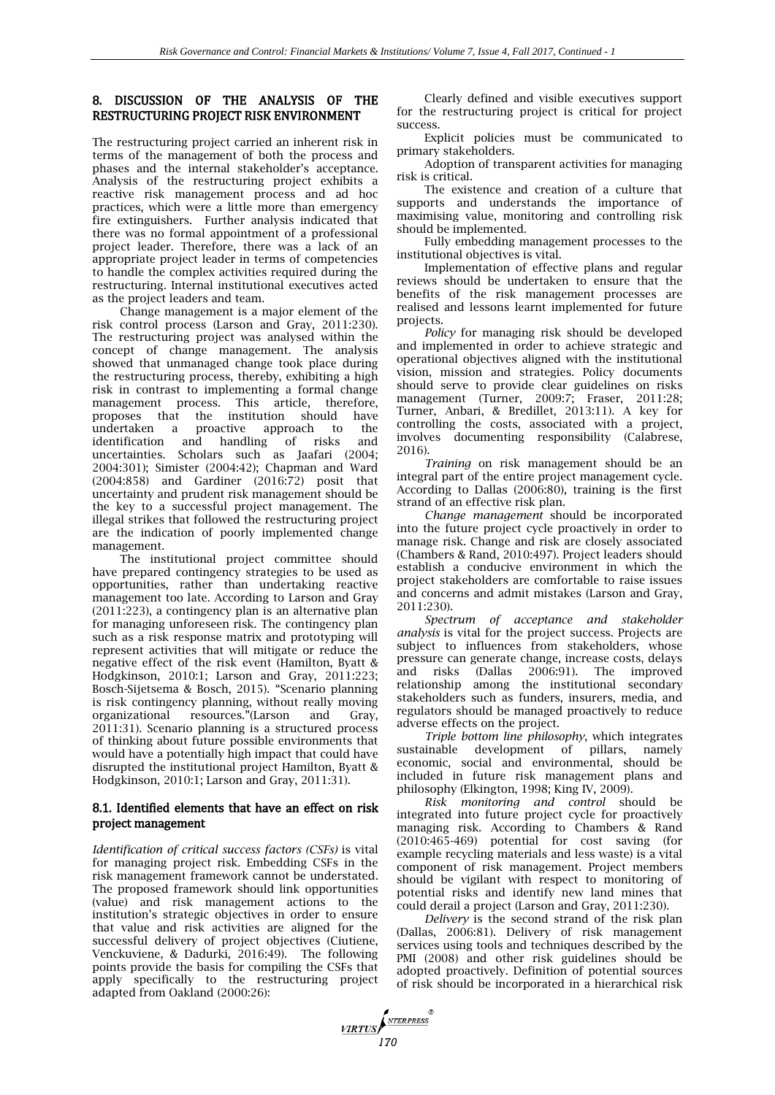# 8. DISCUSSION OF THE ANALYSIS OF THE RESTRUCTURING PROJECT RISK ENVIRONMENT

The restructuring project carried an inherent risk in terms of the management of both the process and phases and the internal stakeholder's acceptance. Analysis of the restructuring project exhibits a reactive risk management process and ad hoc practices, which were a little more than emergency fire extinguishers. Further analysis indicated that there was no formal appointment of a professional project leader. Therefore, there was a lack of an appropriate project leader in terms of competencies to handle the complex activities required during the restructuring. Internal institutional executives acted as the project leaders and team.

Change management is a major element of the risk control process (Larson and Gray, 2011:230). The restructuring project was analysed within the concept of change management. The analysis showed that unmanaged change took place during the restructuring process, thereby, exhibiting a high risk in contrast to implementing a formal change management process. This article, therefore, proposes that the institution should have undertaken a proactive approach to the<br>identification and handling of risks and identification and handling of risks and uncertainties. Scholars such as Jaafari (2004; 2004:301); Simister (2004:42); Chapman and Ward (2004:858) and Gardiner (2016:72) posit that uncertainty and prudent risk management should be the key to a successful project management. The illegal strikes that followed the restructuring project are the indication of poorly implemented change management.

The institutional project committee should have prepared contingency strategies to be used as opportunities, rather than undertaking reactive management too late. According to Larson and Gray (2011:223), a contingency plan is an alternative plan for managing unforeseen risk. The contingency plan such as a risk response matrix and prototyping will represent activities that will mitigate or reduce the negative effect of the risk event (Hamilton, Byatt & Hodgkinson, 2010:1; Larson and Gray, 2011:223; Bosch-Sijetsema & Bosch, 2015). "Scenario planning is risk contingency planning, without really moving organizational resources."(Larson and Gray, 2011:31). Scenario planning is a structured process of thinking about future possible environments that would have a potentially high impact that could have disrupted the institutional project Hamilton, Byatt & Hodgkinson, 2010:1; Larson and Gray, 2011:31).

#### 8.1. Identified elements that have an effect on risk project management

*Identification of critical success factors (CSFs)* is vital for managing project risk. Embedding CSFs in the risk management framework cannot be understated. The proposed framework should link opportunities (value) and risk management actions to the institution's strategic objectives in order to ensure that value and risk activities are aligned for the successful delivery of project objectives (Ciutiene, Venckuviene, & Dadurki, 2016:49). The following points provide the basis for compiling the CSFs that apply specifically to the restructuring project adapted from Oakland (2000:26):

Clearly defined and visible executives support for the restructuring project is critical for project success.

Explicit policies must be communicated to primary stakeholders.

Adoption of transparent activities for managing risk is critical.

The existence and creation of a culture that supports and understands the importance of maximising value, monitoring and controlling risk should be implemented.

Fully embedding management processes to the institutional objectives is vital.

Implementation of effective plans and regular reviews should be undertaken to ensure that the benefits of the risk management processes are realised and lessons learnt implemented for future projects.

*Policy* for managing risk should be developed and implemented in order to achieve strategic and operational objectives aligned with the institutional vision, mission and strategies. Policy documents should serve to provide clear guidelines on risks management (Turner, 2009:7; Fraser, 2011:28; Turner, Anbari, & Bredillet, 2013:11). A key for controlling the costs, associated with a project, involves documenting responsibility (Calabrese, 2016).

*Training* on risk management should be an integral part of the entire project management cycle. According to Dallas (2006:80), training is the first strand of an effective risk plan.

*Change management* should be incorporated into the future project cycle proactively in order to manage risk. Change and risk are closely associated (Chambers & Rand, 2010:497). Project leaders should establish a conducive environment in which the project stakeholders are comfortable to raise issues and concerns and admit mistakes (Larson and Gray, 2011:230).

*Spectrum of acceptance and stakeholder analysis* is vital for the project success. Projects are subject to influences from stakeholders, whose pressure can generate change, increase costs, delays and risks (Dallas 2006:91). The improved relationship among the institutional secondary stakeholders such as funders, insurers, media, and regulators should be managed proactively to reduce adverse effects on the project.

*Triple bottom line philosophy*, which integrates sustainable development of pillars, namely economic, social and environmental, should be included in future risk management plans and philosophy (Elkington, 1998; King IV, 2009).

*Risk monitoring and control* should be integrated into future project cycle for proactively managing risk. According to Chambers & Rand (2010:465-469) potential for cost saving (for example recycling materials and less waste) is a vital component of risk management. Project members should be vigilant with respect to monitoring of potential risks and identify new land mines that could derail a project (Larson and Gray, 2011:230).

*Delivery* is the second strand of the risk plan (Dallas, 2006:81). Delivery of risk management services using tools and techniques described by the PMI (2008) and other risk guidelines should be adopted proactively. Definition of potential sources of risk should be incorporated in a hierarchical risk

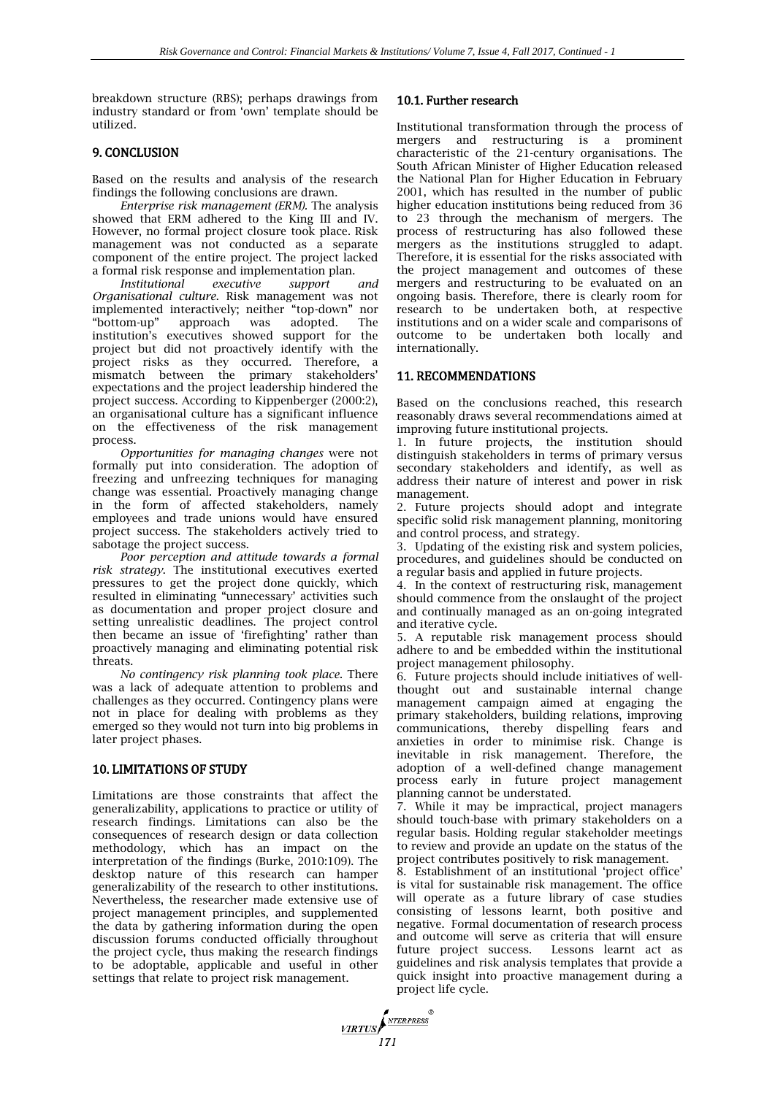breakdown structure (RBS); perhaps drawings from industry standard or from 'own' template should be utilized.

## 9. CONCLUSION

Based on the results and analysis of the research findings the following conclusions are drawn.

*Enterprise risk management (ERM).* The analysis showed that ERM adhered to the King III and IV. However, no formal project closure took place. Risk management was not conducted as a separate component of the entire project. The project lacked a formal risk response and implementation plan.

*Institutional executive support and Organisational culture*. Risk management was not implemented interactively; neither "top-down" nor "bottom-up" approach was adopted. The institution's executives showed support for the project but did not proactively identify with the project risks as they occurred. Therefore, a mismatch between the primary stakeholders' expectations and the project leadership hindered the project success. According to Kippenberger (2000:2), an organisational culture has a significant influence on the effectiveness of the risk management process.

*Opportunities for managing changes* were not formally put into consideration. The adoption of freezing and unfreezing techniques for managing change was essential. Proactively managing change in the form of affected stakeholders, namely employees and trade unions would have ensured project success. The stakeholders actively tried to sabotage the project success.

*Poor perception and attitude towards a formal risk strategy*. The institutional executives exerted pressures to get the project done quickly, which resulted in eliminating "unnecessary' activities such as documentation and proper project closure and setting unrealistic deadlines. The project control then became an issue of 'firefighting' rather than proactively managing and eliminating potential risk threats.

*No contingency risk planning took place*. There was a lack of adequate attention to problems and challenges as they occurred. Contingency plans were not in place for dealing with problems as they emerged so they would not turn into big problems in later project phases.

# 10. LIMITATIONS OF STUDY

Limitations are those constraints that affect the generalizability, applications to practice or utility of research findings. Limitations can also be the consequences of research design or data collection methodology, which has an impact on the interpretation of the findings (Burke, 2010:109). The desktop nature of this research can hamper generalizability of the research to other institutions. Nevertheless, the researcher made extensive use of project management principles, and supplemented the data by gathering information during the open discussion forums conducted officially throughout the project cycle, thus making the research findings to be adoptable, applicable and useful in other settings that relate to project risk management.

# 10.1. Further research

Institutional transformation through the process of mergers and restructuring is a prominent characteristic of the 21-century organisations. The South African Minister of Higher Education released the National Plan for Higher Education in February 2001, which has resulted in the number of public higher education institutions being reduced from 36 to 23 through the mechanism of mergers. The process of restructuring has also followed these mergers as the institutions struggled to adapt. Therefore, it is essential for the risks associated with the project management and outcomes of these mergers and restructuring to be evaluated on an ongoing basis. Therefore, there is clearly room for research to be undertaken both, at respective institutions and on a wider scale and comparisons of outcome to be undertaken both locally and internationally.

## 11. RECOMMENDATIONS

Based on the conclusions reached, this research reasonably draws several recommendations aimed at improving future institutional projects.

1. In future projects, the institution should distinguish stakeholders in terms of primary versus secondary stakeholders and identify, as well as address their nature of interest and power in risk management.

2. Future projects should adopt and integrate specific solid risk management planning, monitoring and control process, and strategy.

3. Updating of the existing risk and system policies, procedures, and guidelines should be conducted on a regular basis and applied in future projects.

4. In the context of restructuring risk, management should commence from the onslaught of the project and continually managed as an on-going integrated and iterative cycle.

5. A reputable risk management process should adhere to and be embedded within the institutional project management philosophy.

6. Future projects should include initiatives of wellthought out and sustainable internal change management campaign aimed at engaging the primary stakeholders, building relations, improving communications, thereby dispelling fears and anxieties in order to minimise risk. Change is inevitable in risk management. Therefore, the adoption of a well-defined change management process early in future project management planning cannot be understated.

7. While it may be impractical, project managers should touch-base with primary stakeholders on a regular basis. Holding regular stakeholder meetings to review and provide an update on the status of the project contributes positively to risk management.

8. Establishment of an institutional 'project office' is vital for sustainable risk management. The office will operate as a future library of case studies consisting of lessons learnt, both positive and negative. Formal documentation of research process and outcome will serve as criteria that will ensure future project success. Lessons learnt act as guidelines and risk analysis templates that provide a quick insight into proactive management during a project life cycle.

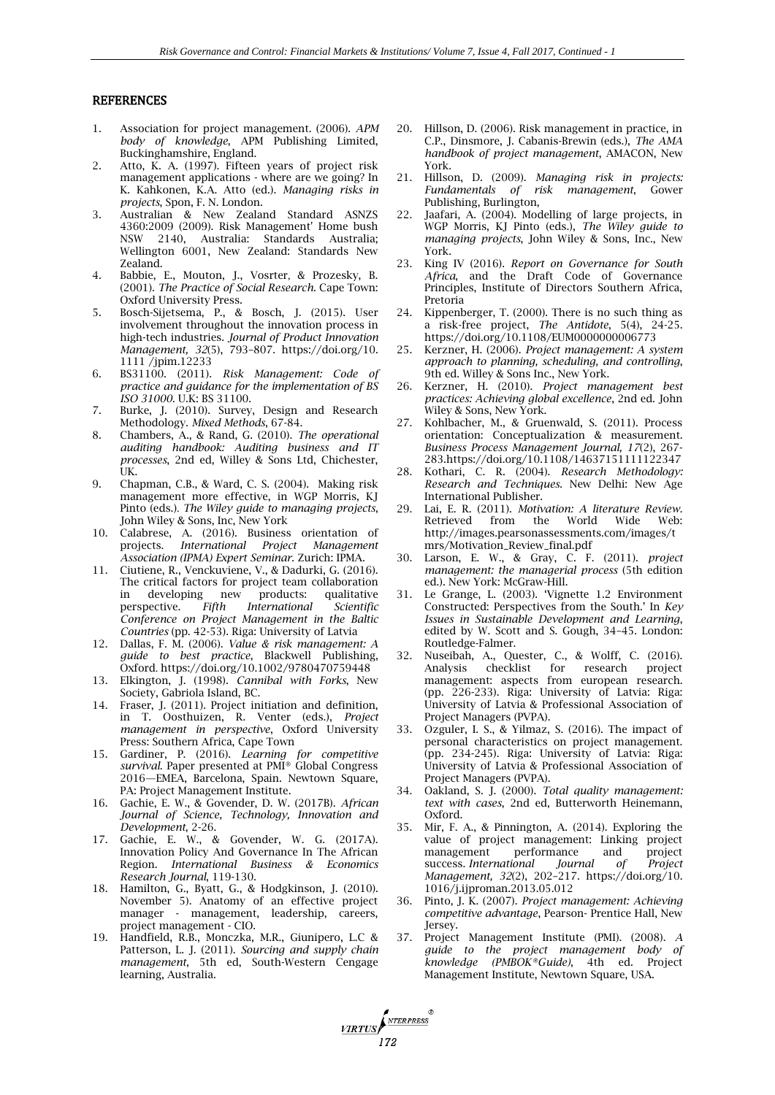#### **REFERENCES**

- 1. Association for project management. (2006). *APM body of knowledge*, APM Publishing Limited, Buckinghamshire, England.
- 2. Atto, K. A. (1997). Fifteen years of project risk management applications - where are we going? In K. Kahkonen, K.A. Atto (ed.). *Managing risks in projects*, Spon, F. N. London.
- 3. Australian & New Zealand Standard ASNZS 4360:2009 (2009). Risk Management' Home bush NSW 2140, Australia: Standards Australia; Wellington 6001, New Zealand: Standards New Zealand.
- 4. Babbie, E., Mouton, J., Vosrter, & Prozesky, B. (2001). *The Practice of Social Research.* Cape Town: Oxford University Press.
- 5. Bosch-Sijetsema, P., & Bosch, J. (2015). User involvement throughout the innovation process in high-tech industries. *Journal of Product Innovation Management, 32*(5), 793–807. [https://doi.org/10.](https://doi.org/10) 1111 /jpim.12233
- 6. BS31100. (2011). *Risk Management: Code of practice and guidance for the implementation of BS ISO 31000.* U.K: BS 31100.
- 7. Burke, J. (2010). Survey, Design and Research Methodology. *Mixed Methods*, 67-84.
- 8. Chambers, A., & Rand, G. (2010). *The operational auditing handbook: Auditing business and IT processes*, 2nd ed, Willey & Sons Ltd, Chichester, UK.
- 9. Chapman, C.B., & Ward, C. S. (2004). Making risk management more effective, in WGP Morris, KJ Pinto (eds.). *The Wiley guide to managing projects*, John Wiley & Sons, Inc, New York
- 10. Calabrese, A. (2016). Business orientation of projects. *International Project Management Association (IPMA) Expert Seminar.* Zurich: IPMA.
- 11. Ciutiene, R., Venckuviene, V., & Dadurki, G. (2016). The critical factors for project team collaboration<br>in developing new products: qualitative in developing new products:<br>perspective. *Fifth International* perspective. *Fifth International Scientific Conference on Project Management in the Baltic Countries* (pp. 42-53). Riga: University of Latvia
- 12. Dallas, F. M. (2006). *Value & risk management: A guide to best practice*, Blackwell Publishing, Oxford. https://doi.org/10.1002/9780470759448
- 13. Elkington, J. (1998). *Cannibal with Forks*, New Society, Gabriola Island, BC.
- 14. Fraser, J. (2011). Project initiation and definition, in T. Oosthuizen, R. Venter (eds.), *Project management in perspective*, Oxford University Press: Southern Africa, Cape Town
- 15. Gardiner, P. (2016). *Learning for competitive survival*. Paper presented at PMI® Global Congress 2016—EMEA, Barcelona, Spain. Newtown Square, PA: Project Management Institute.
- 16. Gachie, E. W., & Govender, D. W. (2017B). *African Journal of Science, Technology, Innovation and Development*, 2-26.
- 17. Gachie, E. W., & Govender, W. G. (2017A). Innovation Policy And Governance In The African Region. *International Business & Economics Research Journal*, 119-130.
- 18. Hamilton, G., Byatt, G., & Hodgkinson, J. (2010). November 5). Anatomy of an effective project manager - management, leadership, careers, project management - CIO.
- 19. Handfield, R.B., Monczka, M.R., Giunipero, L.C & Patterson, L. J. (2011). *Sourcing and supply chain management*, 5th ed, South-Western Cengage learning, Australia.

*MRTUS* 

- 20. Hillson, D. (2006). Risk management in practice, in C.P., Dinsmore, J. Cabanis-Brewin (eds.), *The AMA handbook of project management*, AMACON, New York.
- 21. Hillson, D. (2009). *Managing risk in projects: Fundamentals of risk management*, Publishing, Burlington,
- Jaafari, A. (2004). Modelling of large projects, in WGP Morris, KJ Pinto (eds.), *The Wiley guide to managing projects*, John Wiley & Sons, Inc., New York.
- 23. King IV (2016). *Report on Governance for South Africa*, and the Draft Code of Governance Principles, Institute of Directors Southern Africa, Pretoria
- 24. Kippenberger, T. (2000). There is no such thing as a risk-free project, *The Antidote*, 5(4), 24-25. https://doi.org/10.1108/EUM0000000006773
- 25. Kerzner, H. (2006). *Project management: A system approach to planning, scheduling, and controlling*, 9th ed. Willey & Sons Inc., New York.
- 26. Kerzner, H. (2010). *Project management best practices: Achieving global excellence*, 2nd ed. John Wiley & Sons, New York.
- 27. Kohlbacher, M., & Gruenwald, S. (2011). Process orientation: Conceptualization & measurement. *Business Process Management Journal, 17*(2), 267- 283.https://doi.org/10.1108/14637151111122347
- 28. Kothari, C. R. (2004). *Research Methodology: Research and Techniques.* New Delhi: New Age International Publisher.
- 29. Lai, E. R. (2011). *Motivation: A literature Review.* from the World [http://images.pearsonassessments.com/images/t](http://images.pearsonassessments.com/images/tmrs/Motivation_Review_final.pdf) [mrs/Motivation\\_Review\\_final.pdf](http://images.pearsonassessments.com/images/tmrs/Motivation_Review_final.pdf)
- 30. Larson, E. W., & Gray, C. F. (2011). *project management: the managerial process* (5th edition ed.). New York: McGraw-Hill.
- 31. Le Grange, L. (2003). 'Vignette 1.2 Environment Constructed: Perspectives from the South.' In *Key Issues in Sustainable Development and Learning*, edited by W. Scott and S. Gough, 34–45. London: Routledge-Falmer.
- 32. Nuseibah, A., Quester, C., & Wolff, C. (2016). Analysis checklist for research project management: aspects from european research. (pp. 226-233). Riga: University of Latvia: Riga: University of Latvia & Professional Association of Project Managers (PVPA).
- 33. Ozguler, I. S., & Yilmaz, S. (2016). The impact of personal characteristics on project management. (pp. 234-245). Riga: University of Latvia: Riga: University of Latvia & Professional Association of Project Managers (PVPA).
- 34. Oakland, S. J. (2000). *Total quality management: text with cases*, 2nd ed, Butterworth Heinemann, Oxford.
- 35. Mir, F. A., & Pinnington, A. (2014). Exploring the value of project management: Linking project management performance and project<br>success. International Journal of Project success. *International Journal of Project Management, 32*(2), 202–217. [https://doi.org/10.](https://doi.org/10) 1016/j.ijproman.2013.05.012
- 36. Pinto, J. K. (2007). *Project management: Achieving competitive advantage*, Pearson- Prentice Hall, New Jersey.
- 37. Project Management Institute (PMI). (2008). *A guide to the project management body of knowledge (PMBOK®Guide)*, 4th ed. Project Management Institute, Newtown Square, USA.